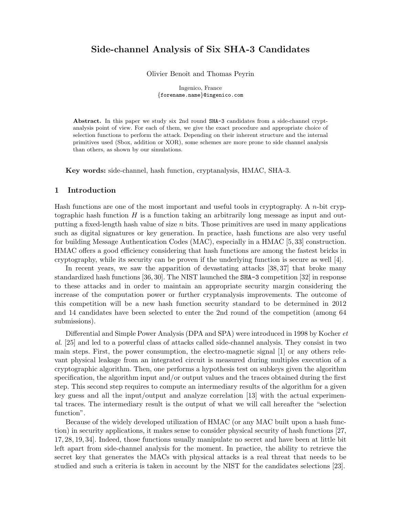# Side-channel Analysis of Six SHA-3 Candidates

Olivier Benoît and Thomas Peyrin

Ingenico, France {forename.name}@ingenico.com

Abstract. In this paper we study six 2nd round SHA-3 candidates from a side-channel cryptanalysis point of view. For each of them, we give the exact procedure and appropriate choice of selection functions to perform the attack. Depending on their inherent structure and the internal primitives used (Sbox, addition or XOR), some schemes are more prone to side channel analysis than others, as shown by our simulations.

Key words: side-channel, hash function, cryptanalysis, HMAC, SHA-3.

#### 1 Introduction

Hash functions are one of the most important and useful tools in cryptography. A  $n$ -bit cryptographic hash function  $H$  is a function taking an arbitrarily long message as input and outputting a fixed-length hash value of size  $n$  bits. Those primitives are used in many applications such as digital signatures or key generation. In practice, hash functions are also very useful for building Message Authentication Codes (MAC), especially in a HMAC [5, 33] construction. HMAC offers a good efficiency considering that hash functions are among the fastest bricks in cryptography, while its security can be proven if the underlying function is secure as well [4].

In recent years, we saw the apparition of devastating attacks [38, 37] that broke many standardized hash functions [36, 30]. The NIST launched the SHA-3 competition [32] in response to these attacks and in order to maintain an appropriate security margin considering the increase of the computation power or further cryptanalysis improvements. The outcome of this competition will be a new hash function security standard to be determined in 2012 and 14 candidates have been selected to enter the 2nd round of the competition (among 64 submissions).

Differential and Simple Power Analysis (DPA and SPA) were introduced in 1998 by Kocher et al. [25] and led to a powerful class of attacks called side-channel analysis. They consist in two main steps. First, the power consumption, the electro-magnetic signal [1] or any others relevant physical leakage from an integrated circuit is measured during multiples execution of a cryptographic algorithm. Then, one performs a hypothesis test on subkeys given the algorithm specification, the algorithm input and/or output values and the traces obtained during the first step. This second step requires to compute an intermediary results of the algorithm for a given key guess and all the input/output and analyze correlation [13] with the actual experimental traces. The intermediary result is the output of what we will call hereafter the "selection function".

Because of the widely developed utilization of HMAC (or any MAC built upon a hash function) in security applications, it makes sense to consider physical security of hash functions [27, 17, 28, 19, 34]. Indeed, those functions usually manipulate no secret and have been at little bit left apart from side-channel analysis for the moment. In practice, the ability to retrieve the secret key that generates the MACs with physical attacks is a real threat that needs to be studied and such a criteria is taken in account by the NIST for the candidates selections [23].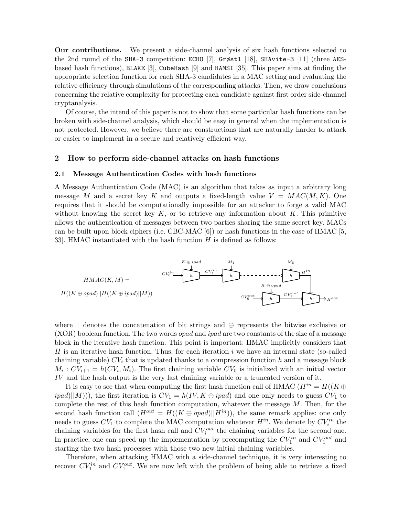Our contributions. We present a side-channel analysis of six hash functions selected to the 2nd round of the SHA-3 competition: ECHO [7], Grøstl [18], SHAvite-3 [11] (three AESbased hash functions), BLAKE [3], CubeHash [9] and HAMSI [35]. This paper aims at finding the appropriate selection function for each SHA-3 candidates in a MAC setting and evaluating the relative efficiency through simulations of the corresponding attacks. Then, we draw conclusions concerning the relative complexity for protecting each candidate against first order side-channel cryptanalysis.

Of course, the intend of this paper is not to show that some particular hash functions can be broken with side-channel analysis, which should be easy in general when the implementation is not protected. However, we believe there are constructions that are naturally harder to attack or easier to implement in a secure and relatively efficient way.

## 2 How to perform side-channel attacks on hash functions

#### 2.1 Message Authentication Codes with hash functions

A Message Authentication Code (MAC) is an algorithm that takes as input a arbitrary long message M and a secret key K and outputs a fixed-length value  $V = MAC(M, K)$ . One requires that it should be computationally impossible for an attacker to forge a valid MAC without knowing the secret key  $K$ , or to retrieve any information about  $K$ . This primitive allows the authentication of messages between two parties sharing the same secret key. MACs can be built upon block ciphers (i.e. CBC-MAC [6]) or hash functions in the case of HMAC [5, 33]. HMAC instantiated with the hash function  $H$  is defined as follows:



where  $\parallel$  denotes the concatenation of bit strings and  $\oplus$  represents the bitwise exclusive or  $(XOR)$  boolean function. The two words *opad* and *ipad* are two constants of the size of a message block in the iterative hash function. This point is important: HMAC implicitly considers that H is an iterative hash function. Thus, for each iteration  $i$  we have an internal state (so-called chaining variable)  $CV_i$  that is updated thanks to a compression function h and a message block  $M_i: CV_{i+1} = h(CV_i, M_i)$ . The first chaining variable  $CV_0$  is initialized with an initial vector IV and the hash output is the very last chaining variable or a truncated version of it.

It is easy to see that when computing the first hash function call of HMAC ( $H^{in} = H((K \oplus$  $ipad$ ||M)), the first iteration is  $CV_1 = h(IV, K \oplus ipad)$  and one only needs to guess  $CV_1$  to complete the rest of this hash function computation, whatever the message M. Then, for the second hash function call  $(H^{out} = H((K \oplus opad)||H^{in}))$ , the same remark applies: one only needs to guess  $CV_1$  to complete the MAC computation whatever  $H^{in}$ . We denote by  $CV_i^{in}$  the chaining variables for the first hash call and  $CV_i^{out}$  the chaining variables for the second one. In practice, one can speed up the implementation by precomputing the  $CV_1^{in}$  and  $CV_1^{out}$  and starting the two hash processes with those two new initial chaining variables.

Therefore, when attacking HMAC with a side-channel technique, it is very interesting to recover  $CV_1^{in}$  and  $CV_1^{out}$ . We are now left with the problem of being able to retrieve a fixed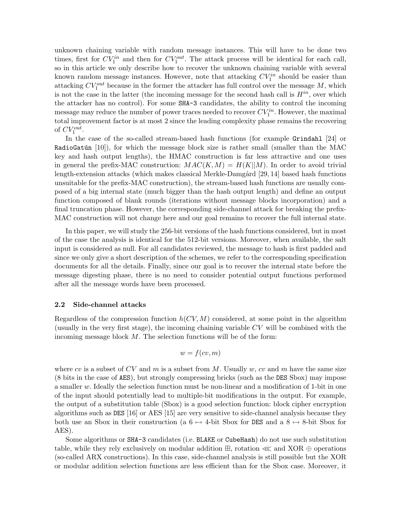unknown chaining variable with random message instances. This will have to be done two times, first for  $CV_1^{in}$  and then for  $CV_1^{out}$ . The attack process will be identical for each call, so in this article we only describe how to recover the unknown chaining variable with several known random message instances. However, note that attacking  $CV_1^{in}$  should be easier than attacking  $CV_1^{out}$  because in the former the attacker has full control over the message  $M$ , which is not the case in the latter (the incoming message for the second hash call is  $H^{in}$ , over which the attacker has no control). For some SHA-3 candidates, the ability to control the incoming message may reduce the number of power traces needed to recover  $CV_1^{in}$ . However, the maximal total improvement factor is at most 2 since the leading complexity phase remains the recovering of  $CV_1^{out}$ .

In the case of the so-called stream-based hash functions (for example Grindahl [24] or RadioGatún  $[10]$ ), for which the message block size is rather small (smaller than the MAC key and hash output lengths), the HMAC construction is far less attractive and one uses in general the prefix-MAC construction:  $MAC(K, M) = H(K||M)$ . In order to avoid trivial length-extension attacks (which makes classical Merkle-Damgård [29, 14] based hash functions unsuitable for the prefix-MAC construction), the stream-based hash functions are usually composed of a big internal state (much bigger than the hash output length) and define an output function composed of blank rounds (iterations without message blocks incorporation) and a final truncation phase. However, the corresponding side-channel attack for breaking the prefix-MAC construction will not change here and our goal remains to recover the full internal state.

In this paper, we will study the 256-bit versions of the hash functions considered, but in most of the case the analysis is identical for the 512-bit versions. Moreover, when available, the salt input is considered as null. For all candidates reviewed, the message to hash is first padded and since we only give a short description of the schemes, we refer to the corresponding specification documents for all the details. Finally, since our goal is to recover the internal state before the message digesting phase, there is no need to consider potential output functions performed after all the message words have been processed.

# 2.2 Side-channel attacks

Regardless of the compression function  $h(CV, M)$  considered, at some point in the algorithm (usually in the very first stage), the incoming chaining variable  $CV$  will be combined with the incoming message block M. The selection functions will be of the form:

$$
w = f(cv, m)
$$

where cv is a subset of CV and m is a subset from M. Usually w, cv and m have the same size (8 bits in the case of AES), but strongly compressing bricks (such as the DES Sbox) may impose a smaller w. Ideally the selection function must be non-linear and a modification of 1-bit in one of the input should potentially lead to multiple-bit modifications in the output. For example, the output of a substitution table (Sbox) is a good selection function: block cipher encryption algorithms such as DES [16] or AES [15] are very sensitive to side-channel analysis because they both use an Sbox in their construction (a  $6 \mapsto 4$ -bit Sbox for DES and a  $8 \mapsto 8$ -bit Sbox for AES).

Some algorithms or SHA-3 candidates (i.e. BLAKE or CubeHash) do not use such substitution table, while they rely exclusively on modular addition  $\mathbb{H}$ , rotation  $\ll$  and XOR  $\oplus$  operations (so-called ARX constructions). In this case, side-channel analysis is still possible but the XOR or modular addition selection functions are less efficient than for the Sbox case. Moreover, it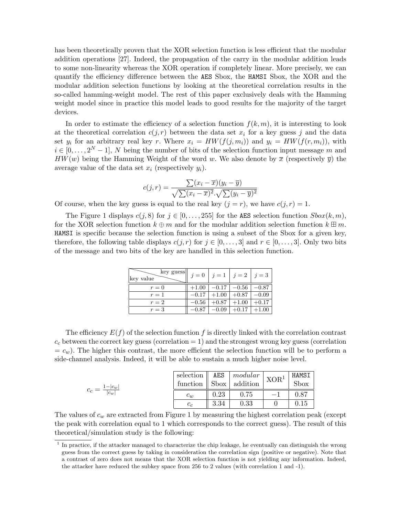has been theoretically proven that the XOR selection function is less efficient that the modular addition operations [27]. Indeed, the propagation of the carry in the modular addition leads to some non-linearity whereas the XOR operation if completely linear. More precisely, we can quantify the efficiency difference between the AES Sbox, the HAMSI Sbox, the XOR and the modular addition selection functions by looking at the theoretical correlation results in the so-called hamming-weight model. The rest of this paper exclusively deals with the Hamming weight model since in practice this model leads to good results for the majority of the target devices.

In order to estimate the efficiency of a selection function  $f(k, m)$ , it is interesting to look at the theoretical correlation  $c(j, r)$  between the data set  $x_i$  for a key guess j and the data set  $y_i$  for an arbitrary real key r. Where  $x_i = HW(f(j, m_i))$  and  $y_i = HW(f(r, m_i))$ , with  $i \in [0, \ldots, 2^N-1]$ , N being the number of bits of the selection function input message m and  $HW(w)$  being the Hamming Weight of the word w. We also denote by  $\bar{x}$  (respectively  $\bar{y}$ ) the average value of the data set  $x_i$  (respectively  $y_i$ ).

$$
c(j,r) = \frac{\sum (x_i - \overline{x})(y_i - \overline{y})}{\sqrt{\sum (x_i - \overline{x})^2} \cdot \sqrt{\sum (y_i - \overline{y})^2}}
$$

Of course, when the key guess is equal to the real key  $(j = r)$ , we have  $c(j, r) = 1$ .

The Figure 1 displays  $c(j, 8)$  for  $j \in [0, \ldots, 255]$  for the AES selection function  $Sbox(k, m)$ , for the XOR selection function  $k \oplus m$  and for the modular addition selection function  $k \boxplus m$ . HAMSI is specific because the selection function is using a subset of the Sbox for a given key, therefore, the following table displays  $c(j, r)$  for  $j \in [0, \ldots, 3]$  and  $r \in [0, \ldots, 3]$ . Only two bits of the message and two bits of the key are handled in this selection function.

| key guess<br>key value |         |         | $j = 0$   $j = 1$   $j = 2$   $j = 3$ |         |
|------------------------|---------|---------|---------------------------------------|---------|
| $r=0$                  | $+1.00$ |         | $ -0.17  -0.56 $                      | $-0.87$ |
| $r=1$                  | $-0.17$ | $+1.00$ | $+0.87$                               | $-0.09$ |
| $r=2$                  | $-0.56$ | $+0.87$ | $+1.00$                               | $+0.17$ |
| $r=3$                  | $-0.87$ | $-0.09$ | $+0.17$                               | $+1.00$ |

The efficiency  $E(f)$  of the selection function f is directly linked with the correlation contrast  $c_c$  between the correct key guess (correlation  $= 1$ ) and the strongest wrong key guess (correlation  $= c_w$ ). The higher this contrast, the more efficient the selection function will be to perform a side-channel analysis. Indeed, it will be able to sustain a much higher noise level.

| $- c_{w+} $        | $\mid \text{selection} \mid \mid \text{AES} \mid \mid \text{modular} \mid \text{XOR}^{1 \mid P}$<br>function $\parallel$ Sbox $\parallel$ addition |      |      | HAMSI<br>Sbox |
|--------------------|----------------------------------------------------------------------------------------------------------------------------------------------------|------|------|---------------|
| $c_c =$<br>$ c_w $ | $c_w$                                                                                                                                              | 0.23 | 0.75 | $\rm 0.87$    |
|                    | $c_c$                                                                                                                                              | 3.34 | 0.33 |               |

The values of  $c_w$  are extracted from Figure 1 by measuring the highest correlation peak (except the peak with correlation equal to 1 which corresponds to the correct guess). The result of this theoretical/simulation study is the following:

<sup>&</sup>lt;sup>1</sup> In practice, if the attacker managed to characterize the chip leakage, he eventually can distinguish the wrong guess from the correct guess by taking in consideration the correlation sign (positive or negative). Note that a contrast of zero does not means that the XOR selection function is not yielding any information. Indeed, the attacker have reduced the subkey space from 256 to 2 values (with correlation 1 and -1).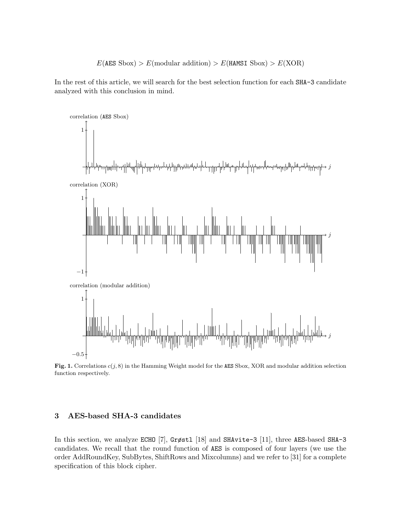$E(\texttt{AES Show}) > E(\texttt{modular addition}) > E(\texttt{HAMSI Show}) > E(\texttt{XOR})$ 

In the rest of this article, we will search for the best selection function for each SHA-3 candidate analyzed with this conclusion in mind.



Fig. 1. Correlations  $c(j, 8)$  in the Hamming Weight model for the AES Sbox, XOR and modular addition selection function respectively.

# 3 AES-based SHA-3 candidates

In this section, we analyze ECHO [7], Grøstl [18] and SHAvite-3 [11], three AES-based SHA-3 candidates. We recall that the round function of AES is composed of four layers (we use the order AddRoundKey, SubBytes, ShiftRows and Mixcolumns) and we refer to [31] for a complete specification of this block cipher.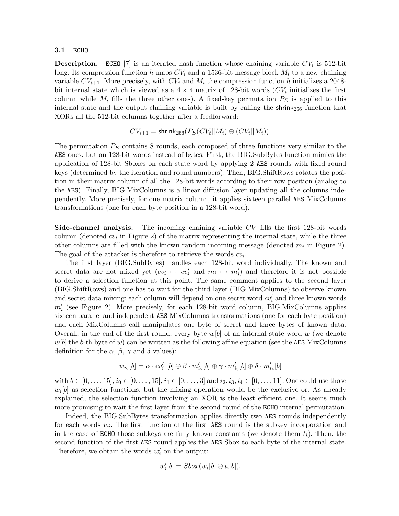#### 3.1 ECHO

**Description.** ECHO [7] is an iterated hash function whose chaining variable  $CV_i$  is 512-bit long. Its compression function h maps  $CV_i$  and a 1536-bit message block  $M_i$  to a new chaining variable  $CV_{i+1}$ . More precisely, with  $CV_i$  and  $M_i$  the compression function h initializes a 2048bit internal state which is viewed as a  $4 \times 4$  matrix of 128-bit words  $(CV_i)$  initializes the first column while  $M_i$  fills the three other ones). A fixed-key permutation  $P_E$  is applied to this internal state and the output chaining variable is built by calling the shrink $_{256}$  function that XORs all the 512-bit columns together after a feedforward:

$$
CV_{i+1} = \text{shrink}_{256}(P_E(CV_i||M_i) \oplus (CV_i||M_i)).
$$

The permutation  $P_E$  contains 8 rounds, each composed of three functions very similar to the AES ones, but on 128-bit words instead of bytes. First, the BIG.SubBytes function mimics the application of 128-bit Sboxes on each state word by applying 2 AES rounds with fixed round keys (determined by the iteration and round numbers). Then, BIG.ShiftRows rotates the position in their matrix column of all the 128-bit words according to their row position (analog to the AES). Finally, BIG.MixColumns is a linear diffusion layer updating all the columns independently. More precisely, for one matrix column, it applies sixteen parallel AES MixColumns transformations (one for each byte position in a 128-bit word).

Side-channel analysis. The incoming chaining variable CV fills the first 128-bit words column (denoted  $cv_i$  in Figure 2) of the matrix representing the internal state, while the three other columns are filled with the known random incoming message (denoted  $m_i$  in Figure 2). The goal of the attacker is therefore to retrieve the words  $cv_i$ .

The first layer (BIG.SubBytes) handles each 128-bit word individually. The known and secret data are not mixed yet  $(cv_i \rightarrow cv'_i$  and  $m_i \rightarrow m'_i)$  and therefore it is not possible to derive a selection function at this point. The same comment applies to the second layer (BIG.ShiftRows) and one has to wait for the third layer (BIG.MixColumns) to observe known and secret data mixing: each column will depend on one secret word  $cv_i'$  and three known words  $m_i'$  (see Figure 2). More precisely, for each 128-bit word column, BIG.MixColumns applies sixteen parallel and independent AES MixColumns transformations (one for each byte position) and each MixColumns call manipulates one byte of secret and three bytes of known data. Overall, in the end of the first round, every byte  $w[b]$  of an internal state word w (we denote  $w[b]$  the b-th byte of w) can be written as the following affine equation (see the AES MixColumns definition for the  $\alpha$ ,  $\beta$ ,  $\gamma$  and  $\delta$  values):

$$
w_{i_0}[b] = \alpha \cdot cv'_{i_1}[b] \oplus \beta \cdot m'_{i_2}[b] \oplus \gamma \cdot m'_{i_3}[b] \oplus \delta \cdot m'_{i_4}[b]
$$

with  $b \in [0, \ldots, 15], i_0 \in [0, \ldots, 15], i_1 \in [0, \ldots, 3]$  and  $i_2, i_3, i_4 \in [0, \ldots, 11]$ . One could use those  $w_i[b]$  as selection functions, but the mixing operation would be the exclusive or. As already explained, the selection function involving an XOR is the least efficient one. It seems much more promising to wait the first layer from the second round of the ECHO internal permutation.

Indeed, the BIG.SubBytes transformation applies directly two AES rounds independently for each words  $w_i$ . The first function of the first AES round is the subkey incorporation and in the case of ECHO those subkeys are fully known constants (we denote them  $t_i$ ). Then, the second function of the first AES round applies the AES Sbox to each byte of the internal state. Therefore, we obtain the words  $w_i'$  on the output:

$$
w_i'[b] = Sbox(w_i[b] \oplus t_i[b]).
$$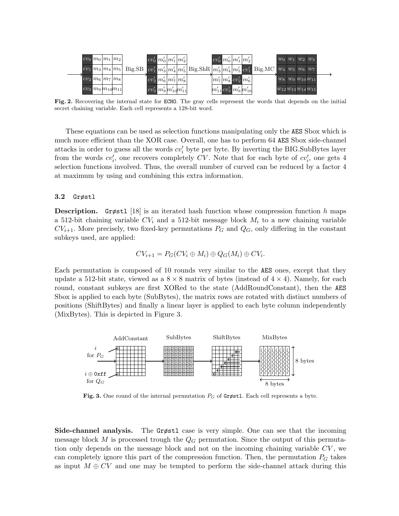| $cv_0   m_0   m_1   m_2$       |  |                                 | $ cv_0 m'_0 m'_1 m'_2 $               |  |                                                                                             |  | $ cv'_0  m'_0  m'_1  m'_2 $                                              | $w_0$                      | $w_1$ $w_2$ $w_3$ |                                          |
|--------------------------------|--|---------------------------------|---------------------------------------|--|---------------------------------------------------------------------------------------------|--|--------------------------------------------------------------------------|----------------------------|-------------------|------------------------------------------|
| $ cv_1  m_3   m_4   m_5 $      |  | $\overline{\phantom{a}}$ Big.SB |                                       |  | $ cv'_1  m'_3  m'_4  m'_5 $ Big.ShR $ m'_3  m'_4  m'_5  cv'_1$ Big.MC $ w_4  w_5  w_6  w_7$ |  |                                                                          |                            |                   |                                          |
| $cv_2 \, m_6 \,  m_7  \, m_8$  |  |                                 | $ cv_2' m_6' m_7' m_8' $              |  |                                                                                             |  | $\left m_{7}^{'}\right m_{8}^{'}\left cv_{2}^{'}\right m_{6}^{'}\right $ |                            |                   | $w_8$ $w_9$ $\overline{w_{10}}$ $w_{11}$ |
| $cv_3$ $m_9$ $m_{10}$ $m_{11}$ |  |                                 | $cv'_3 \, m'_9 \, m'_{10} \, m'_{11}$ |  |                                                                                             |  | $m'_{11}$ cv <sub>3</sub> $m'_{9}$ $m'_{10}$                             | $w_{12}w_{13}w_{14}w_{15}$ |                   |                                          |

Fig. 2. Recovering the internal state for ECHO. The gray cells represent the words that depends on the initial secret chaining variable. Each cell represents a 128-bit word.

These equations can be used as selection functions manipulating only the AES Sbox which is much more efficient than the XOR case. Overall, one has to perform 64 AES Sbox side-channel attacks in order to guess all the words  $cv'_i$  byte per byte. By inverting the BIG.SubBytes layer from the words  $cv_i'$ , one recovers completely CV. Note that for each byte of  $cv_i'$ , one gets 4 selection functions involved. Thus, the overall number of curved can be reduced by a factor 4 at maximum by using and combining this extra information.

# 3.2 Grøstl

**Description.** Grøstl [18] is an iterated hash function whose compression function h maps a 512-bit chaining variable  $CV_i$  and a 512-bit message block  $M_i$  to a new chaining variable  $CV_{i+1}$ . More precisely, two fixed-key permutations  $P_G$  and  $Q_G$ , only differing in the constant subkeys used, are applied:

$$
CV_{i+1} = P_G(CV_i \oplus M_i) \oplus Q_G(M_i) \oplus CV_i.
$$

Each permutation is composed of 10 rounds very similar to the AES ones, except that they update a 512-bit state, viewed as a  $8 \times 8$  matrix of bytes (instead of  $4 \times 4$ ). Namely, for each round, constant subkeys are first XORed to the state (AddRoundConstant), then the AES Sbox is applied to each byte (SubBytes), the matrix rows are rotated with distinct numbers of positions (ShiftBytes) and finally a linear layer is applied to each byte column independently (MixBytes). This is depicted in Figure 3.



Fig. 3. One round of the internal permutation  $P_G$  of Grøstl. Each cell represents a byte.

Side-channel analysis. The Grøstl case is very simple. One can see that the incoming message block  $M$  is processed trough the  $Q_G$  permutation. Since the output of this permutation only depends on the message block and not on the incoming chaining variable  $CV$ , we can completely ignore this part of the compression function. Then, the permutation  $P_G$  takes as input  $M \oplus CV$  and one may be tempted to perform the side-channel attack during this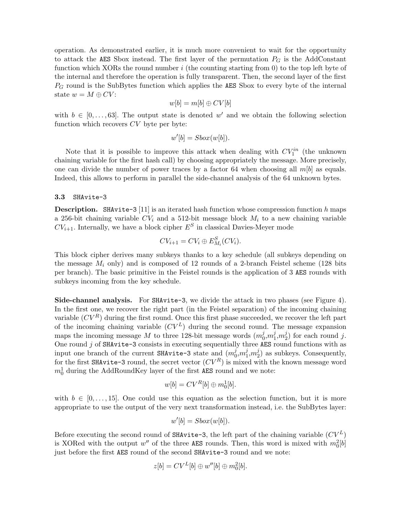operation. As demonstrated earlier, it is much more convenient to wait for the opportunity to attack the AES Sbox instead. The first layer of the permutation  $P_G$  is the AddConstant function which XORs the round number  $i$  (the counting starting from 0) to the top left byte of the internal and therefore the operation is fully transparent. Then, the second layer of the first  $P_G$  round is the SubBytes function which applies the AES Sbox to every byte of the internal state  $w = M \oplus CV$ :

$$
w[b] = m[b] \oplus CV[b]
$$

with  $b \in [0, \ldots, 63]$ . The output state is denoted w' and we obtain the following selection function which recovers CV byte per byte:

$$
w'[b] = Sbox(w[b]).
$$

Note that it is possible to improve this attack when dealing with  $CV_1^{in}$  (the unknown chaining variable for the first hash call) by choosing appropriately the message. More precisely, one can divide the number of power traces by a factor 64 when choosing all  $m[b]$  as equals. Indeed, this allows to perform in parallel the side-channel analysis of the 64 unknown bytes.

# 3.3 SHAvite-3

**Description.** SHAvite-3 [11] is an iterated hash function whose compression function h maps a 256-bit chaining variable  $CV_i$  and a 512-bit message block  $M_i$  to a new chaining variable  $CV_{i+1}$ . Internally, we have a block cipher  $E^{S}$  in classical Davies-Meyer mode

$$
CV_{i+1} = CV_i \oplus E_{M_i}^S(CV_i).
$$

This block cipher derives many subkeys thanks to a key schedule (all subkeys depending on the message  $M_i$  only) and is composed of 12 rounds of a 2-branch Feistel scheme (128 bits per branch). The basic primitive in the Feistel rounds is the application of 3 AES rounds with subkeys incoming from the key schedule.

Side-channel analysis. For SHAvite-3, we divide the attack in two phases (see Figure 4). In the first one, we recover the right part (in the Feistel separation) of the incoming chaining variable  $(CV^R)$  during the first round. Once this first phase succeeded, we recover the left part of the incoming chaining variable  $(CV^L)$  during the second round. The message expansion maps the incoming message M to three 128-bit message words  $(m_0^j)$  $_{0}^{j},m_{1}^{j}$  $_{1}^{j},m_{2}^{j}$  $j(2)$  for each round j. One round  $j$  of SHAvite-3 consists in executing sequentially three AES round functions with as input one branch of the current SHAvite-3 state and  $(m_0^j)$  $_{0}^{j},m_{1}^{j}$  $\frac{j}{1}, m_2^j$  $2<sup>j</sup>$ ) as subkeys. Consequently, for the first SHAvite-3 round, the secret vector  $(CV^R)$  is mixed with the known message word  $m_0^1$  during the AddRoundKey layer of the first AES round and we note:

$$
w[b] = CV^R[b] \oplus m_0^1[b].
$$

with  $b \in [0, \ldots, 15]$ . One could use this equation as the selection function, but it is more appropriate to use the output of the very next transformation instead, i.e. the SubBytes layer:

$$
w'[b] = Sbox(w[b]).
$$

Before executing the second round of SHAvite-3, the left part of the chaining variable  $(CV^L)$ is XORed with the output  $w''$  of the three AES rounds. Then, this word is mixed with  $m_0^2[b]$ just before the first AES round of the second SHAvite-3 round and we note:

$$
z[b] = CV^{L}[b] \oplus w''[b] \oplus m_0^2[b].
$$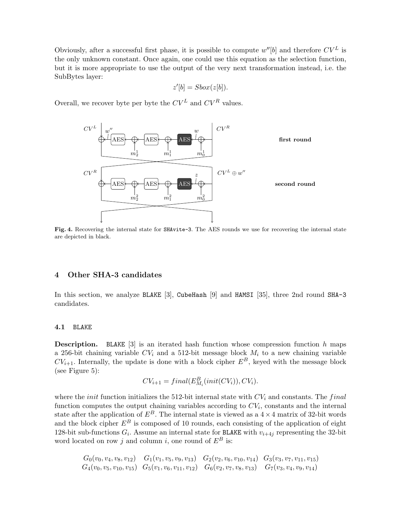Obviously, after a successful first phase, it is possible to compute  $w''[b]$  and therefore  $CV<sup>L</sup>$  is the only unknown constant. Once again, one could use this equation as the selection function, but it is more appropriate to use the output of the very next transformation instead, i.e. the SubBytes layer:

$$
z'[b] = Sbox(z[b]).
$$

Overall, we recover byte per byte the  $CV<sup>L</sup>$  and  $CV<sup>R</sup>$  values.



Fig. 4. Recovering the internal state for SHAvite-3. The AES rounds we use for recovering the internal state are depicted in black.

### 4 Other SHA-3 candidates

In this section, we analyze BLAKE [3], CubeHash [9] and HAMSI [35], three 2nd round SHA-3 candidates.

#### 4.1 BLAKE

**Description.** BLAKE  $[3]$  is an iterated hash function whose compression function h maps a 256-bit chaining variable  $CV_i$  and a 512-bit message block  $M_i$  to a new chaining variable  $CV_{i+1}$ . Internally, the update is done with a block cipher  $E^B$ , keyed with the message block (see Figure 5):

$$
CV_{i+1} = final(E_{M_i}^B(int(CV_i)), CV_i).
$$

where the *init* function initializes the 512-bit internal state with  $CV_i$  and constants. The *final* function computes the output chaining variables according to  $CV_i$ , constants and the internal state after the application of  $E^B$ . The internal state is viewed as a  $4 \times 4$  matrix of 32-bit words and the block cipher  $E^B$  is composed of 10 rounds, each consisting of the application of eight 128-bit sub-functions  $G_i$ . Assume an internal state for BLAKE with  $v_{i+4j}$  representing the 32-bit word located on row j and column i, one round of  $E^B$  is:

$$
G_0(v_0, v_4, v_8, v_{12}) \quad G_1(v_1, v_5, v_9, v_{13}) \quad G_2(v_2, v_6, v_{10}, v_{14}) \quad G_3(v_3, v_7, v_{11}, v_{15})
$$
  

$$
G_4(v_0, v_5, v_{10}, v_{15}) \quad G_5(v_1, v_6, v_{11}, v_{12}) \quad G_6(v_2, v_7, v_8, v_{13}) \quad G_7(v_3, v_4, v_9, v_{14})
$$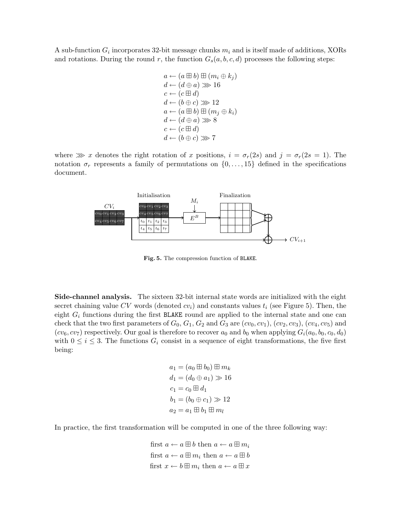A sub-function  $G_i$  incorporates 32-bit message chunks  $m_i$  and is itself made of additions, XORs and rotations. During the round r, the function  $G_s(a, b, c, d)$  processes the following steps:

$$
a \leftarrow (a \boxplus b) \boxplus (m_i \oplus k_j)
$$
  
\n
$$
d \leftarrow (d \oplus a) \ggg 16
$$
  
\n
$$
c \leftarrow (c \boxplus d)
$$
  
\n
$$
d \leftarrow (b \oplus c) \ggg 12
$$
  
\n
$$
a \leftarrow (a \boxplus b) \boxplus (m_j \oplus k_i)
$$
  
\n
$$
d \leftarrow (d \oplus a) \ggg g
$$
  
\n
$$
c \leftarrow (c \boxplus d)
$$
  
\n
$$
d \leftarrow (b \oplus c) \ggg g
$$

where  $\gg x$  denotes the right rotation of x positions,  $i = \sigma_r(2s)$  and  $j = \sigma_r(2s = 1)$ . The notation  $\sigma_r$  represents a family of permutations on  $\{0, \ldots, 15\}$  defined in the specifications document.



Fig. 5. The compression function of BLAKE.

Side-channel analysis. The sixteen 32-bit internal state words are initialized with the eight secret chaining value CV words (denoted  $cv_i$ ) and constants values  $t_i$  (see Figure 5). Then, the eight  $G_i$  functions during the first BLAKE round are applied to the internal state and one can check that the two first parameters of  $G_0$ ,  $G_1$ ,  $G_2$  and  $G_3$  are  $(cv_0, cv_1)$ ,  $(cv_2, cv_3)$ ,  $(cv_4, cv_5)$  and  $(cv_6, cv_7)$  respectively. Our goal is therefore to recover  $a_0$  and  $b_0$  when applying  $G_i(a_0, b_0, c_0, d_0)$ with  $0 \leq i \leq 3$ . The functions  $G_i$  consist in a sequence of eight transformations, the five first being:

> $a_1 = (a_0 \boxplus b_0) \boxplus m_k$  $d_1 = (d_0 \oplus a_1) \gg 16$  $c_1 = c_0 \boxplus d_1$  $b_1 = (b_0 \oplus c_1) \gg 12$  $a_2 = a_1 \boxplus b_1 \boxplus m_l$

In practice, the first transformation will be computed in one of the three following way:

first  $a \leftarrow a \boxplus b$  then  $a \leftarrow a \boxplus m_i$ first  $a \leftarrow a \boxplus m_i$  then  $a \leftarrow a \boxplus b$ first  $x \leftarrow b \boxplus m_i$  then  $a \leftarrow a \boxplus x$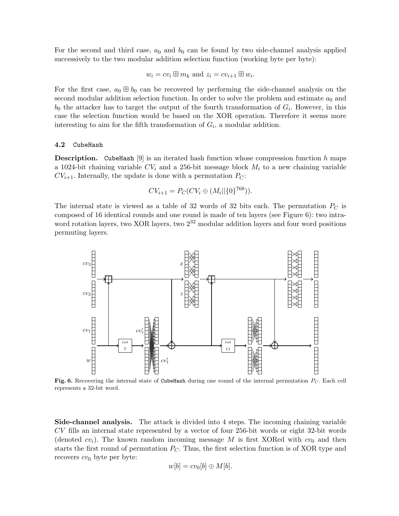For the second and third case,  $a_0$  and  $b_0$  can be found by two side-channel analysis applied successively to the two modular addition selection function (working byte per byte):

$$
w_i = cv_i \boxplus m_k
$$
 and  $z_i = cv_{i+1} \boxplus w_i$ .

For the first case,  $a_0 \boxplus b_0$  can be recovered by performing the side-channel analysis on the second modular addition selection function. In order to solve the problem and estimate  $a_0$  and  $b_0$  the attacker has to target the output of the fourth transformation of  $G_i$ . However, in this case the selection function would be based on the XOR operation. Therefore it seems more interesting to aim for the fifth transformation of  $G_i$ , a modular addition.

### 4.2 CubeHash

**Description.** CubeHash [9] is an iterated hash function whose compression function h maps a 1024-bit chaining variable  $CV_i$  and a 256-bit message block  $M_i$  to a new chaining variable  $CV_{i+1}$ . Internally, the update is done with a permutation  $P_C$ :

$$
CV_{i+1} = P_C(CV_i \oplus (M_i || \{0\}^{768})).
$$

The internal state is viewed as a table of 32 words of 32 bits each. The permutation  $P_{\mathcal{C}}$  is composed of 16 identical rounds and one round is made of ten layers (see Figure 6): two intraword rotation layers, two XOR layers, two  $2^{32}$  modular addition layers and four word positions permuting layers.



Fig. 6. Recovering the internal state of CubeHash during one round of the internal permutation  $P<sub>C</sub>$ . Each cell represents a 32-bit word.

Side-channel analysis. The attack is divided into 4 steps. The incoming chaining variable CV fills an internal state represented by a vector of four 256-bit words or eight 32-bit words (denoted  $cv_i$ ). The known random incoming message M is first XORed with  $cv_0$  and then starts the first round of permutation  $P<sub>C</sub>$ . Thus, the first selection function is of XOR type and recovers  $cv_0$  byte per byte:

$$
w[b] = cv_0[b] \oplus M[b].
$$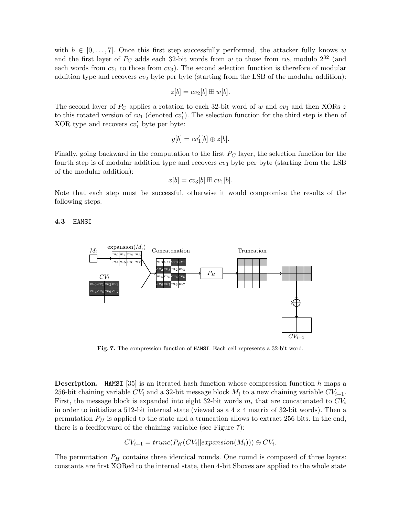with  $b \in [0, \ldots, 7]$ . Once this first step successfully performed, the attacker fully knows w and the first layer of  $P_C$  adds each 32-bit words from w to those from  $cv_2$  modulo  $2^{32}$  (and each words from  $cv_1$  to those from  $cv_3$ ). The second selection function is therefore of modular addition type and recovers  $cv_2$  byte per byte (starting from the LSB of the modular addition):

$$
z[b] = cv_2[b] \boxplus w[b].
$$

The second layer of  $P_C$  applies a rotation to each 32-bit word of w and  $cv_1$  and then XORs z to this rotated version of  $cv_1$  (denoted  $cv'_1$ ). The selection function for the third step is then of  $XOR$  type and recovers  $cv'_1$  byte per byte:

$$
y[b] = cv_1'[b] \oplus z[b].
$$

Finally, going backward in the computation to the first  $P<sub>C</sub>$  layer, the selection function for the fourth step is of modular addition type and recovers  $cv_3$  byte per byte (starting from the LSB of the modular addition):

$$
x[b] = cv_3[b] \boxplus cv_1[b].
$$

Note that each step must be successful, otherwise it would compromise the results of the following steps.

#### 4.3 HAMSI



Fig. 7. The compression function of HAMSI. Each cell represents a 32-bit word.

**Description.** HAMSI [35] is an iterated hash function whose compression function h maps a 256-bit chaining variable  $CV_i$  and a 32-bit message block  $M_i$  to a new chaining variable  $CV_{i+1}$ . First, the message block is expanded into eight 32-bit words  $m_i$  that are concatenated to  $CV_i$ in order to initialize a 512-bit internal state (viewed as a  $4 \times 4$  matrix of 32-bit words). Then a permutation  $P_H$  is applied to the state and a truncation allows to extract 256 bits. In the end, there is a feedforward of the chaining variable (see Figure 7):

$$
CV_{i+1} = trunc(P_H(CV_i||expansion(M_i))) \oplus CV_i.
$$

The permutation  $P_H$  contains three identical rounds. One round is composed of three layers: constants are first XORed to the internal state, then 4-bit Sboxes are applied to the whole state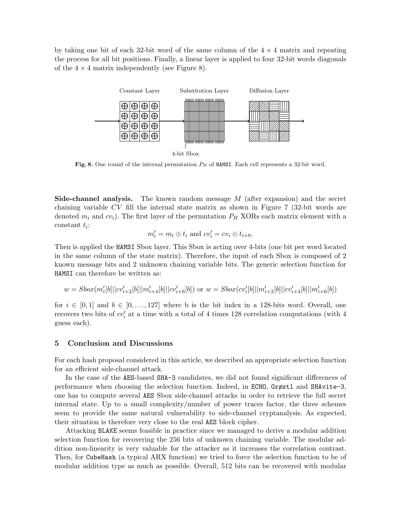by taking one bit of each 32-bit word of the same column of the  $4 \times 4$  matrix and repeating the process for all bit positions. Finally, a linear layer is applied to four 32-bit words diagonals of the  $4 \times 4$  matrix independently (see Figure 8).



Fig. 8. One round of the internal permutation  $P_H$  of HAMSI. Each cell represents a 32-bit word.

Side-channel analysis. The known random message M (after expansion) and the secret chaining variable CV fill the internal state matrix as shown in Figure 7 (32-bit words are denoted  $m_i$  and  $cv_i$ ). The first layer of the permutation  $P_H$  XORs each matrix element with a  $constant$   $t_i$ :

$$
m'_i = m_i \oplus t_i
$$
 and  $cv'_i = cv_i \oplus t_{i+8}$ .

Then is applied the HAMSI Sbox layer. This Sbox is acting over 4-bits (one bit per word located in the same column of the state matrix). Therefore, the input of each Sbox is composed of 2 known message bits and 2 unknown chaining variable bits. The generic selection function for HAMSI can therefore be written as:

$$
w = Sbox(m'_i[b]||cv'_{i+2}[b]||m'_{i+4}[b]||cv'_{i+6}[b]) \text{ or } w = Sbox(cv'_i[b]||m'_{i+2}[b]||cv'_{i+4}[b]||m'_{i+6}[b])
$$

for  $i \in [0,1]$  and  $b \in [0,\ldots,127]$  where b is the bit index in a 128-bits word. Overall, one recovers two bits of  $cv_i'$  at a time with a total of 4 times 128 correlation computations (with 4 guess each).

# 5 Conclusion and Discussions

For each hash proposal considered in this article, we described an appropriate selection function for an efficient side-channel attack.

In the case of the AES-based SHA-3 candidates, we did not found significant differences of performance when choosing the selection function. Indeed, in ECHO, Grøstl and SHAvite-3, one has to compute several AES Sbox side-channel attacks in order to retrieve the full secret internal state. Up to a small complexity/number of power traces factor, the three schemes seem to provide the same natural vulnerability to side-channel cryptanalysis. As expected, their situation is therefore very close to the real AES block cipher.

Attacking BLAKE seems feasible in practice since we managed to derive a modular addition selection function for recovering the 256 bits of unknown chaining variable. The modular addition non-linearity is very valuable for the attacker as it increases the correlation contrast. Then, for CubeHash (a typical ARX function) we tried to force the selection function to be of modular addition type as much as possible. Overall, 512 bits can be recovered with modular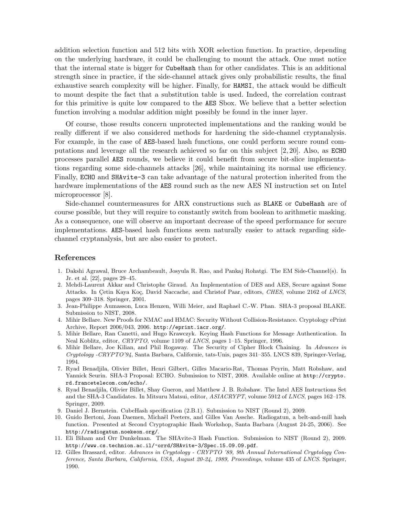addition selection function and 512 bits with XOR selection function. In practice, depending on the underlying hardware, it could be challenging to mount the attack. One must notice that the internal state is bigger for CubeHash than for other candidates. This is an additional strength since in practice, if the side-channel attack gives only probabilistic results, the final exhaustive search complexity will be higher. Finally, for HAMSI, the attack would be difficult to mount despite the fact that a substitution table is used. Indeed, the correlation contrast for this primitive is quite low compared to the AES Sbox. We believe that a better selection function involving a modular addition might possibly be found in the inner layer.

Of course, those results concern unprotected implementations and the ranking would be really different if we also considered methods for hardening the side-channel cryptanalysis. For example, in the case of AES-based hash functions, one could perform secure round computations and leverage all the research achieved so far on this subject [2, 20]. Also, as ECHO processes parallel AES rounds, we believe it could benefit from secure bit-slice implementations regarding some side-channels attacks [26], while maintaining its normal use efficiency. Finally, ECHO and SHAvite-3 can take advantage of the natural protection inherited from the hardware implementations of the AES round such as the new AES NI instruction set on Intel microprocessor [8].

Side-channel countermeasures for ARX constructions such as BLAKE or CubeHash are of course possible, but they will require to constantly switch from boolean to arithmetic masking. As a consequence, one will observe an important decrease of the speed performance for secure implementations. AES-based hash functions seem naturally easier to attack regarding sidechannel cryptanalysis, but are also easier to protect.

# References

- 1. Dakshi Agrawal, Bruce Archambeault, Josyula R. Rao, and Pankaj Rohatgi. The EM Side-Channel(s). In Jr. et al. [22], pages 29–45.
- 2. Mehdi-Laurent Akkar and Christophe Giraud. An Implementation of DES and AES, Secure against Some Attacks. In Cetin Kaya Koç, David Naccache, and Christof Paar, editors, CHES, volume 2162 of LNCS, pages 309–318. Springer, 2001.
- 3. Jean-Philippe Aumasson, Luca Henzen, Willi Meier, and Raphael C.-W. Phan. SHA-3 proposal BLAKE. Submission to NIST, 2008.
- 4. Mihir Bellare. New Proofs for NMAC and HMAC: Security Without Collision-Resistance. Cryptology ePrint Archive, Report 2006/043, 2006. http://eprint.iacr.org/.
- 5. Mihir Bellare, Ran Canetti, and Hugo Krawczyk. Keying Hash Functions for Message Authentication. In Neal Koblitz, editor, CRYPTO, volume 1109 of LNCS, pages 1–15. Springer, 1996.
- 6. Mihir Bellare, Joe Kilian, and Phil Rogaway. The Security of Cipher Block Chaining. In Advances in Cryptology -CRYPTO'94, Santa Barbara, Californie, tats-Unis, pages 341–355. LNCS 839, Springer-Verlag, 1994.
- 7. Ryad Benadjila, Olivier Billet, Henri Gilbert, Gilles Macario-Rat, Thomas Peyrin, Matt Robshaw, and Yannick Seurin. SHA-3 Proposal: ECHO. Submission to NIST, 2008. Available online at http://crypto. rd.francetelecom.com/echo/.
- 8. Ryad Benadjila, Olivier Billet, Shay Gueron, and Matthew J. B. Robshaw. The Intel AES Instructions Set and the SHA-3 Candidates. In Mitsuru Matsui, editor, ASIACRYPT, volume 5912 of LNCS, pages 162–178. Springer, 2009.
- 9. Daniel J. Bernstein. CubeHash specification (2.B.1). Submission to NIST (Round 2), 2009.
- 10. Guido Bertoni, Joan Daemen, Michaël Peeters, and Gilles Van Assche. Radiogatun, a belt-and-mill hash function. Presented at Second Cryptographic Hash Workshop, Santa Barbara (August 24-25, 2006). See http://radiogatun.noekeon.org/.
- 11. Eli Biham and Orr Dunkelman. The SHAvite-3 Hash Function. Submission to NIST (Round 2), 2009. http://www.cs.technion.ac.il/~orrd/SHAvite-3/Spec.15.09.09.pdf.
- 12. Gilles Brassard, editor. Advances in Cryptology CRYPTO '89, 9th Annual International Cryptology Conference, Santa Barbara, California, USA, August 20-24, 1989, Proceedings, volume 435 of LNCS. Springer, 1990.